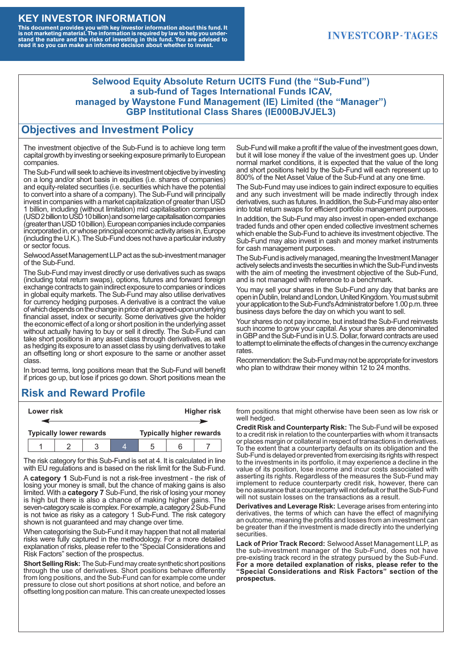#### **KEY INVESTOR INFORMATION**

This document provides you with key investor information about this fund. It<br>is not marketing material. The information is required by law to help you under-<br>stand the nature and the risks of investing in this fund. You ar

#### **INVESTCORP-TAGES**

#### **Selwood Equity Absolute Return UCITS Fund (the "Sub-Fund") a sub-fund of Tages International Funds ICAV, managed by Waystone Fund Management (IE) Limited (the "Manager") GBP Institutional Class Shares (IE000BJVJEL3)**

#### **Objectives and Investment Policy**

The investment objective of the Sub-Fund is to achieve long term capital growth by investing or seeking exposure primarily to European companies.

The Sub-Fund will seek to achieve its investment objective by investing on a long and/or short basis in equities (i.e. shares of companies) and equity-related securities (i.e. securities which have the potential to convert into a share of a company). The Sub-Fund will principally invest in companies with a market capitalization of greater than USD 1 billion, including (without limitation) mid capitalisation companies (USD 2 billion to USD 10 billion) and some large capitalisation companies (greaterthanUSD10billion).European companiesinclude companies incorporated in, or whose principal economic activity arises in, Europe (including the U.K.). The Sub-Fund does not have a particular industry or sector focus.

Selwood Asset Management LLP act as the sub-investment manager of the Sub-Fund.

The Sub-Fund may invest directly or use derivatives such as swaps (including total return swaps), options, futures and forward foreign exchange contracts to gain indirect exposure to companies or indices in global equity markets. The Sub-Fund may also utilise derivatives for currency hedging purposes. A derivative is a contract the value of which depends on the change in price of an agreed-upon underlying financial asset, index or security. Some derivatives give the holder the economic effect of a long or short position in the underlying asset without actually having to buy or sell it directly. The Sub-Fund can take short positions in any asset class through derivatives, as well as hedging its exposure to an asset class by using derivatives to take an offsetting long or short exposure to the same or another asset class.

In broad terms, long positions mean that the Sub-Fund will benefit if prices go up, but lose if prices go down. Short positions mean the

## **Risk and Reward Profile**

|                                | Lower risk |  |  | <b>Higher risk</b>              |  |  |
|--------------------------------|------------|--|--|---------------------------------|--|--|
|                                |            |  |  |                                 |  |  |
| <b>Typically lower rewards</b> |            |  |  | <b>Typically higher rewards</b> |  |  |
|                                |            |  |  | :5                              |  |  |

The risk category for this Sub-Fund is set at 4. It is calculated in line with EU regulations and is based on the risk limit for the Sub-Fund.

A **category 1** Sub-Fund is not a risk-free investment - the risk of losing your money is small, but the chance of making gains is also limited. With a **category 7** Sub-Fund, the risk of losing your money is high but there is also a chance of making higher gains. The seven-category scale is complex. For example, a category 2 Sub-Fund is not twice as risky as a category 1 Sub-Fund. The risk category shown is not guaranteed and may change over time.

When categorising the Sub-Fund it may happen that not all material risks were fully captured in the methodology. For a more detailed explanation of risks, please refer to the "Special Considerations and Risk Factors" section of the prospectus.

**Short Selling Risk:** The Sub-Fund may create synthetic short positions through the use of derivatives. Short positions behave differently from long positions, and the Sub-Fund can for example come under pressure to close out short positions at short notice, and before an offsetting long position can mature. This can create unexpected losses

Sub-Fund will make a profit if the value of the investment goes down, but it will lose money if the value of the investment goes up. Under normal market conditions, it is expected that the value of the long and short positions held by the Sub-Fund will each represent up to 800% of the Net Asset Value of the Sub-Fund at any one time.

The Sub-Fund may use indices to gain indirect exposure to equities and any such investment will be made indirectly through index derivatives, such as futures. In addition, the Sub-Fund may also enter into total return swaps for efficient portfolio management purposes.

In addition, the Sub-Fund may also invest in open-ended exchange traded funds and other open ended collective investment schemes which enable the Sub-Fund to achieve its investment objective. The Sub-Fund may also invest in cash and money market instruments for cash management purposes.

The Sub-Fund is actively managed, meaning the Investment Manager actively selects and invests the securities in which the Sub-Fund invests with the aim of meeting the investment objective of the Sub-Fund, and is not managed with reference to a benchmark.

You may sell your shares in the Sub-Fund any day that banks are open in Dublin, Ireland and London, United Kingdom. You must submit your application to the Sub-Fund's Administrator before 1.00 p.m. three business days before the day on which you want to sell.

Your shares do not pay income, but instead the Sub-Fund reinvests such income to grow your capital. As your shares are denominated in GBP and the Sub-Fund is in U.S. Dollar, forward contracts are used to attempt to eliminate the effects of changes in the currency exchange rates.

Recommendation: the Sub-Fund may not be appropriate for investors who plan to withdraw their money within 12 to 24 months.

from positions that might otherwise have been seen as low risk or well hedged.

**Credit Risk and Counterparty Risk:** The Sub-Fund will be exposed to a credit risk in relation to the counterparties with whom it transacts or places margin or collateral in respect of transactions in derivatives. To the extent that a counterparty defaults on its obligation and the Sub-Fund is delayed or prevented from exercising its rights with respect to the investments in its portfolio, it may experience a decline in the value of its position, lose income and incur costs associated with asserting its rights. Regardless of the measures the Sub-Fund may implement to reduce counterparty credit risk, however, there can be no assurance that a counterparty will not default or that the Sub-Fund will not sustain losses on the transactions as a result.

**Derivatives and Leverage Risk:** Leverage arises from entering into derivatives, the terms of which can have the effect of magnifying an outcome, meaning the profits and losses from an investment can be greater than if the investment is made directly into the underlying **securities**.

**Lack of Prior Track Record:** Selwood Asset Management LLP, as the sub-investment manager of the Sub-Fund, does not have pre-existing track record in the strategy pursued by the Sub-Fund. **For a more detailed explanation of risks, please refer to the "Special Considerations and Risk Factors" section of the prospectus.**